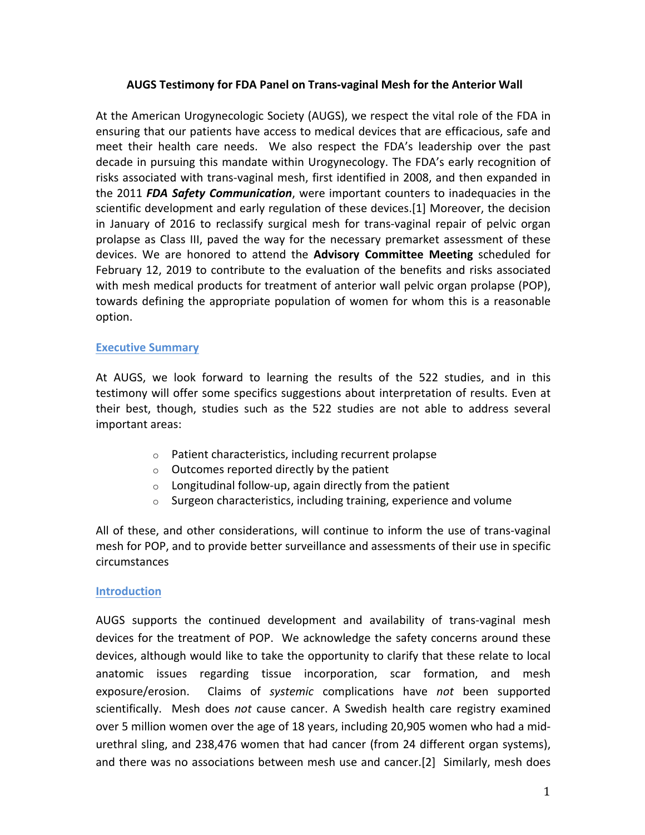# **AUGS Testimony for FDA Panel on Trans-vaginal Mesh for the Anterior Wall**

At the American Urogynecologic Society (AUGS), we respect the vital role of the FDA in ensuring that our patients have access to medical devices that are efficacious, safe and meet their health care needs. We also respect the FDA's leadership over the past decade in pursuing this mandate within Urogynecology. The FDA's early recognition of risks associated with trans-vaginal mesh, first identified in 2008, and then expanded in the 2011 *FDA Safety Communication*, were important counters to inadequacies in the scientific development and early regulation of these devices.[1] Moreover, the decision in January of 2016 to reclassify surgical mesh for trans-vaginal repair of pelvic organ prolapse as Class III, paved the way for the necessary premarket assessment of these devices. We are honored to attend the Advisory Committee Meeting scheduled for February 12, 2019 to contribute to the evaluation of the benefits and risks associated with mesh medical products for treatment of anterior wall pelvic organ prolapse (POP), towards defining the appropriate population of women for whom this is a reasonable option.

## **Executive Summary**

At AUGS, we look forward to learning the results of the 522 studies, and in this testimony will offer some specifics suggestions about interpretation of results. Even at their best, though, studies such as the 522 studies are not able to address several important areas:

- $\circ$  Patient characteristics, including recurrent prolapse
- $\circ$  Outcomes reported directly by the patient
- $\circ$  Longitudinal follow-up, again directly from the patient
- $\circ$  Surgeon characteristics, including training, experience and volume

All of these, and other considerations, will continue to inform the use of trans-vaginal mesh for POP, and to provide better surveillance and assessments of their use in specific circumstances

## **Introduction**

AUGS supports the continued development and availability of trans-vaginal mesh devices for the treatment of POP. We acknowledge the safety concerns around these devices, although would like to take the opportunity to clarify that these relate to local anatomic issues regarding tissue incorporation, scar formation, and mesh exposure/erosion. Claims of *systemic* complications have *not* been supported scientifically. Mesh does *not* cause cancer. A Swedish health care registry examined over 5 million women over the age of 18 years, including 20,905 women who had a midurethral sling, and 238,476 women that had cancer (from 24 different organ systems), and there was no associations between mesh use and cancer.[2] Similarly, mesh does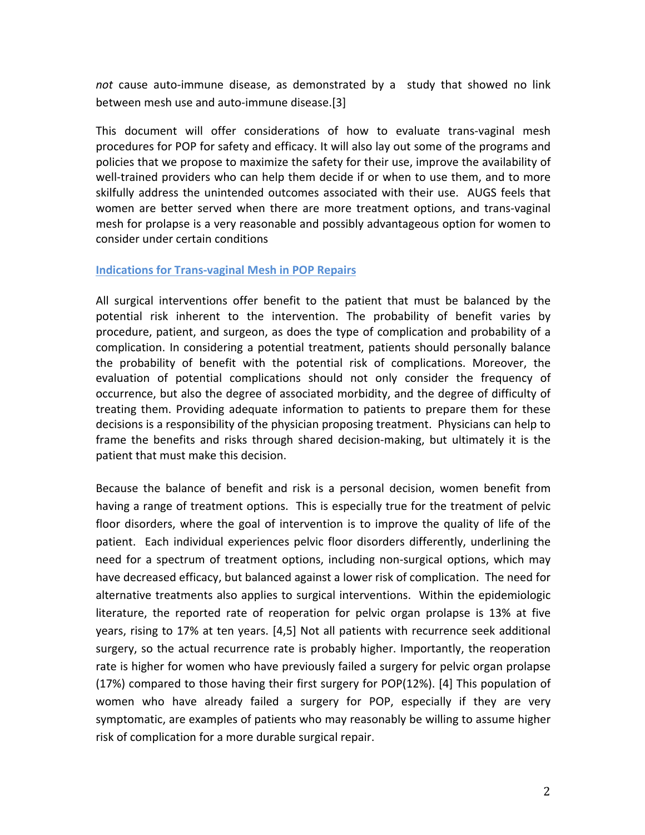*not* cause auto-immune disease, as demonstrated by a study that showed no link between mesh use and auto-immune disease.[3]

This document will offer considerations of how to evaluate trans-vaginal mesh procedures for POP for safety and efficacy. It will also lay out some of the programs and policies that we propose to maximize the safety for their use, improve the availability of well-trained providers who can help them decide if or when to use them, and to more skilfully address the unintended outcomes associated with their use. AUGS feels that women are better served when there are more treatment options, and trans-vaginal mesh for prolapse is a very reasonable and possibly advantageous option for women to consider under certain conditions

#### **Indications for Trans-vaginal Mesh in POP Repairs**

All surgical interventions offer benefit to the patient that must be balanced by the potential risk inherent to the intervention. The probability of benefit varies by procedure, patient, and surgeon, as does the type of complication and probability of a complication. In considering a potential treatment, patients should personally balance the probability of benefit with the potential risk of complications. Moreover, the evaluation of potential complications should not only consider the frequency of occurrence, but also the degree of associated morbidity, and the degree of difficulty of treating them. Providing adequate information to patients to prepare them for these decisions is a responsibility of the physician proposing treatment. Physicians can help to frame the benefits and risks through shared decision-making, but ultimately it is the patient that must make this decision.

Because the balance of benefit and risk is a personal decision, women benefit from having a range of treatment options. This is especially true for the treatment of pelvic floor disorders, where the goal of intervention is to improve the quality of life of the patient. Each individual experiences pelvic floor disorders differently, underlining the need for a spectrum of treatment options, including non-surgical options, which may have decreased efficacy, but balanced against a lower risk of complication. The need for alternative treatments also applies to surgical interventions. Within the epidemiologic literature, the reported rate of reoperation for pelvic organ prolapse is 13% at five years, rising to 17% at ten years. [4,5] Not all patients with recurrence seek additional surgery, so the actual recurrence rate is probably higher. Importantly, the reoperation rate is higher for women who have previously failed a surgery for pelvic organ prolapse (17%) compared to those having their first surgery for POP(12%). [4] This population of women who have already failed a surgery for POP, especially if they are very symptomatic, are examples of patients who may reasonably be willing to assume higher risk of complication for a more durable surgical repair.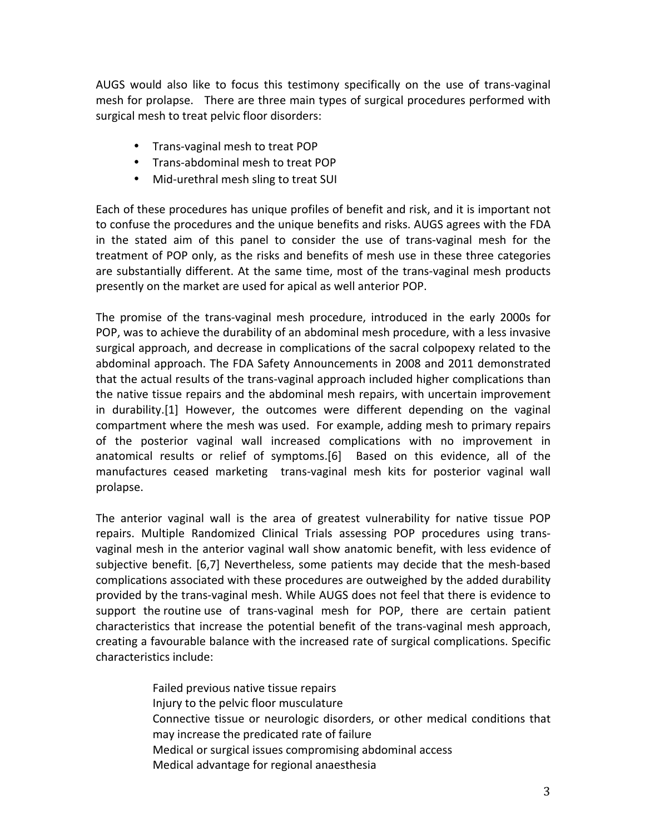AUGS would also like to focus this testimony specifically on the use of trans-vaginal mesh for prolapse. There are three main types of surgical procedures performed with surgical mesh to treat pelvic floor disorders:

- Trans-vaginal mesh to treat POP
- Trans-abdominal mesh to treat POP
- Mid-urethral mesh sling to treat SUI

Each of these procedures has unique profiles of benefit and risk, and it is important not to confuse the procedures and the unique benefits and risks. AUGS agrees with the FDA in the stated aim of this panel to consider the use of trans-vaginal mesh for the treatment of POP only, as the risks and benefits of mesh use in these three categories are substantially different. At the same time, most of the trans-vaginal mesh products presently on the market are used for apical as well anterior POP.

The promise of the trans-vaginal mesh procedure, introduced in the early 2000s for POP, was to achieve the durability of an abdominal mesh procedure, with a less invasive surgical approach, and decrease in complications of the sacral colpopexy related to the abdominal approach. The FDA Safety Announcements in 2008 and 2011 demonstrated that the actual results of the trans-vaginal approach included higher complications than the native tissue repairs and the abdominal mesh repairs, with uncertain improvement in durability.[1] However, the outcomes were different depending on the vaginal compartment where the mesh was used. For example, adding mesh to primary repairs of the posterior vaginal wall increased complications with no improvement in anatomical results or relief of symptoms.[6] Based on this evidence, all of the manufactures ceased marketing trans-vaginal mesh kits for posterior vaginal wall prolapse. 

The anterior vaginal wall is the area of greatest vulnerability for native tissue POP repairs. Multiple Randomized Clinical Trials assessing POP procedures using transvaginal mesh in the anterior vaginal wall show anatomic benefit, with less evidence of subjective benefit. [6,7] Nevertheless, some patients may decide that the mesh-based complications associated with these procedures are outweighed by the added durability provided by the trans-vaginal mesh. While AUGS does not feel that there is evidence to support the routine use of trans-vaginal mesh for POP, there are certain patient characteristics that increase the potential benefit of the trans-vaginal mesh approach, creating a favourable balance with the increased rate of surgical complications. Specific characteristics include:

> Failed previous native tissue repairs Injury to the pelvic floor musculature Connective tissue or neurologic disorders, or other medical conditions that may increase the predicated rate of failure Medical or surgical issues compromising abdominal access Medical advantage for regional anaesthesia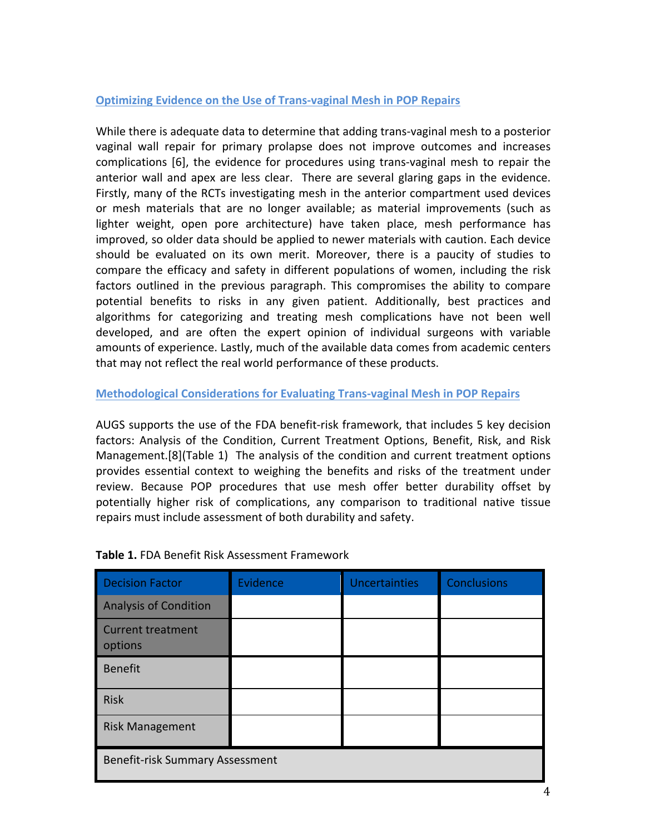# **Optimizing Evidence on the Use of Trans-vaginal Mesh in POP Repairs**

While there is adequate data to determine that adding trans-vaginal mesh to a posterior vaginal wall repair for primary prolapse does not improve outcomes and increases complications [6], the evidence for procedures using trans-vaginal mesh to repair the anterior wall and apex are less clear. There are several glaring gaps in the evidence. Firstly, many of the RCTs investigating mesh in the anterior compartment used devices or mesh materials that are no longer available; as material improvements (such as lighter weight, open pore architecture) have taken place, mesh performance has improved, so older data should be applied to newer materials with caution. Each device should be evaluated on its own merit. Moreover, there is a paucity of studies to compare the efficacy and safety in different populations of women, including the risk factors outlined in the previous paragraph. This compromises the ability to compare potential benefits to risks in any given patient. Additionally, best practices and algorithms for categorizing and treating mesh complications have not been well developed, and are often the expert opinion of individual surgeons with variable amounts of experience. Lastly, much of the available data comes from academic centers that may not reflect the real world performance of these products.

# **Methodological Considerations for Evaluating Trans-vaginal Mesh in POP Repairs**

AUGS supports the use of the FDA benefit-risk framework, that includes 5 key decision factors: Analysis of the Condition, Current Treatment Options, Benefit, Risk, and Risk Management.<sup>[8]</sup>(Table 1) The analysis of the condition and current treatment options provides essential context to weighing the benefits and risks of the treatment under review. Because POP procedures that use mesh offer better durability offset by potentially higher risk of complications, any comparison to traditional native tissue repairs must include assessment of both durability and safety.

| <b>Decision Factor</b>                 | Evidence | <b>Uncertainties</b> | <b>Conclusions</b> |
|----------------------------------------|----------|----------------------|--------------------|
| <b>Analysis of Condition</b>           |          |                      |                    |
| <b>Current treatment</b><br>options    |          |                      |                    |
| <b>Benefit</b>                         |          |                      |                    |
| <b>Risk</b>                            |          |                      |                    |
| <b>Risk Management</b>                 |          |                      |                    |
| <b>Benefit-risk Summary Assessment</b> |          |                      |                    |

# **Table 1.** FDA Benefit Risk Assessment Framework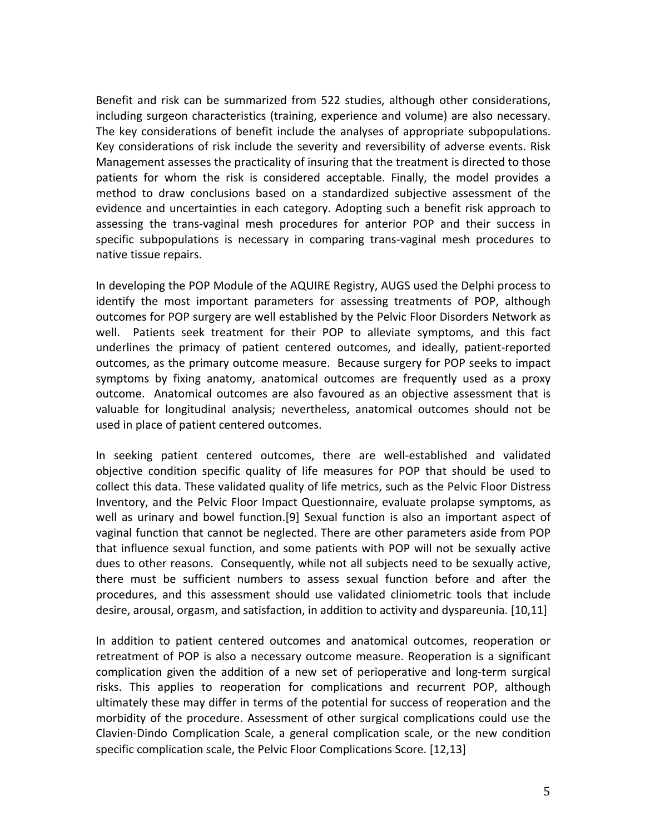Benefit and risk can be summarized from 522 studies, although other considerations, including surgeon characteristics (training, experience and volume) are also necessary. The key considerations of benefit include the analyses of appropriate subpopulations. Key considerations of risk include the severity and reversibility of adverse events. Risk Management assesses the practicality of insuring that the treatment is directed to those patients for whom the risk is considered acceptable. Finally, the model provides a method to draw conclusions based on a standardized subjective assessment of the evidence and uncertainties in each category. Adopting such a benefit risk approach to assessing the trans-vaginal mesh procedures for anterior POP and their success in specific subpopulations is necessary in comparing trans-vaginal mesh procedures to native tissue repairs.

In developing the POP Module of the AQUIRE Registry, AUGS used the Delphi process to identify the most important parameters for assessing treatments of POP, although outcomes for POP surgery are well established by the Pelvic Floor Disorders Network as well. Patients seek treatment for their POP to alleviate symptoms, and this fact underlines the primacy of patient centered outcomes, and ideally, patient-reported outcomes, as the primary outcome measure. Because surgery for POP seeks to impact symptoms by fixing anatomy, anatomical outcomes are frequently used as a proxy outcome. Anatomical outcomes are also favoured as an objective assessment that is valuable for longitudinal analysis; nevertheless, anatomical outcomes should not be used in place of patient centered outcomes.

In seeking patient centered outcomes, there are well-established and validated objective condition specific quality of life measures for POP that should be used to collect this data. These validated quality of life metrics, such as the Pelvic Floor Distress Inventory, and the Pelvic Floor Impact Questionnaire, evaluate prolapse symptoms, as well as urinary and bowel function.[9] Sexual function is also an important aspect of vaginal function that cannot be neglected. There are other parameters aside from POP that influence sexual function, and some patients with POP will not be sexually active dues to other reasons. Consequently, while not all subjects need to be sexually active, there must be sufficient numbers to assess sexual function before and after the procedures, and this assessment should use validated cliniometric tools that include desire, arousal, orgasm, and satisfaction, in addition to activity and dyspareunia. [10,11]

In addition to patient centered outcomes and anatomical outcomes, reoperation or retreatment of POP is also a necessary outcome measure. Reoperation is a significant complication given the addition of a new set of perioperative and long-term surgical risks. This applies to reoperation for complications and recurrent POP, although ultimately these may differ in terms of the potential for success of reoperation and the morbidity of the procedure. Assessment of other surgical complications could use the Clavien-Dindo Complication Scale, a general complication scale, or the new condition specific complication scale, the Pelvic Floor Complications Score. [12,13]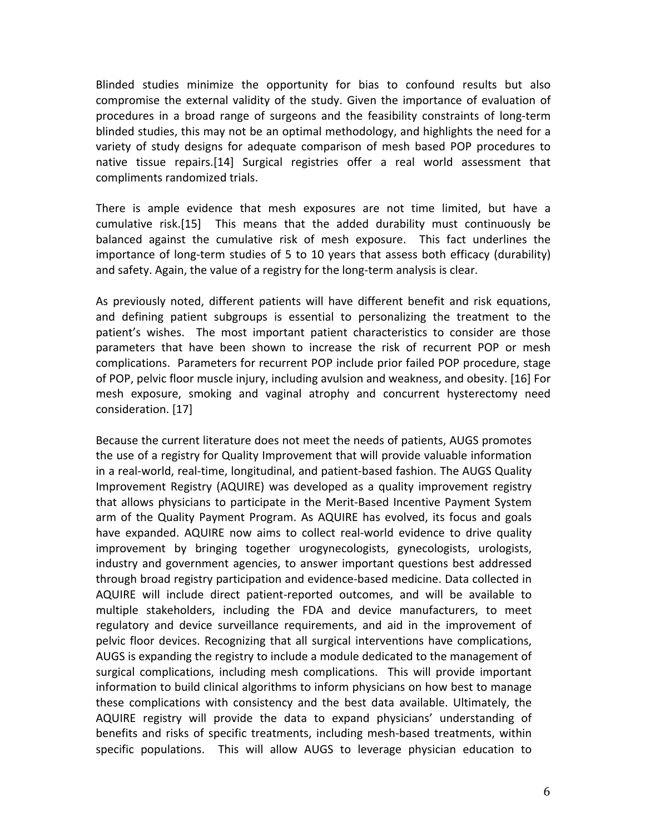Blinded studies minimize the opportunity for bias to confound results but also compromise the external validity of the study. Given the importance of evaluation of procedures in a broad range of surgeons and the feasibility constraints of long-term blinded studies, this may not be an optimal methodology, and highlights the need for a variety of study designs for adequate comparison of mesh based POP procedures to native tissue repairs.[14] Surgical registries offer a real world assessment that compliments randomized trials.

There is ample evidence that mesh exposures are not time limited, but have a cumulative risk.[15] This means that the added durability must continuously be balanced against the cumulative risk of mesh exposure. This fact underlines the importance of long-term studies of 5 to 10 years that assess both efficacy (durability) and safety. Again, the value of a registry for the long-term analysis is clear.

As previously noted, different patients will have different benefit and risk equations, and defining patient subgroups is essential to personalizing the treatment to the patient's wishes. The most important patient characteristics to consider are those parameters that have been shown to increase the risk of recurrent POP or mesh complications. Parameters for recurrent POP include prior failed POP procedure, stage of POP, pelvic floor muscle injury, including avulsion and weakness, and obesity. [16] For mesh exposure, smoking and vaginal atrophy and concurrent hysterectomy need consideration. [17]

Because the current literature does not meet the needs of patients, AUGS promotes the use of a registry for Quality Improvement that will provide valuable information in a real-world, real-time, longitudinal, and patient-based fashion. The AUGS Quality Improvement Registry (AQUIRE) was developed as a quality improvement registry that allows physicians to participate in the Merit-Based Incentive Payment System arm of the Quality Payment Program. As AQUIRE has evolved, its focus and goals have expanded. AQUIRE now aims to collect real-world evidence to drive quality improvement by bringing together urogynecologists, gynecologists, urologists, industry and government agencies, to answer important questions best addressed through broad registry participation and evidence-based medicine. Data collected in AQUIRE will include direct patient-reported outcomes, and will be available to multiple stakeholders, including the FDA and device manufacturers, to meet regulatory and device surveillance requirements, and aid in the improvement of pelvic floor devices. Recognizing that all surgical interventions have complications, AUGS is expanding the registry to include a module dedicated to the management of surgical complications, including mesh complications. This will provide important information to build clinical algorithms to inform physicians on how best to manage these complications with consistency and the best data available. Ultimately, the AQUIRE registry will provide the data to expand physicians' understanding of benefits and risks of specific treatments, including mesh-based treatments, within specific populations. This will allow AUGS to leverage physician education to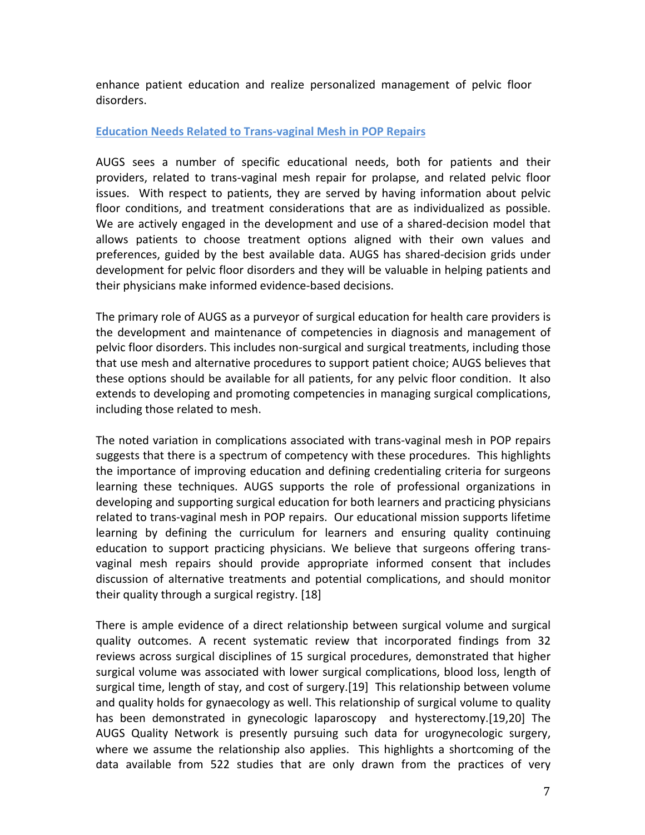enhance patient education and realize personalized management of pelvic floor disorders.

## **Education Needs Related to Trans-vaginal Mesh in POP Repairs**

AUGS sees a number of specific educational needs, both for patients and their providers, related to trans-vaginal mesh repair for prolapse, and related pelvic floor issues. With respect to patients, they are served by having information about pelvic floor conditions, and treatment considerations that are as individualized as possible. We are actively engaged in the development and use of a shared-decision model that allows patients to choose treatment options aligned with their own values and preferences, guided by the best available data. AUGS has shared-decision grids under development for pelvic floor disorders and they will be valuable in helping patients and their physicians make informed evidence-based decisions.

The primary role of AUGS as a purveyor of surgical education for health care providers is the development and maintenance of competencies in diagnosis and management of pelvic floor disorders. This includes non-surgical and surgical treatments, including those that use mesh and alternative procedures to support patient choice; AUGS believes that these options should be available for all patients, for any pelvic floor condition. It also extends to developing and promoting competencies in managing surgical complications, including those related to mesh.

The noted variation in complications associated with trans-vaginal mesh in POP repairs suggests that there is a spectrum of competency with these procedures. This highlights the importance of improving education and defining credentialing criteria for surgeons learning these techniques. AUGS supports the role of professional organizations in developing and supporting surgical education for both learners and practicing physicians related to trans-vaginal mesh in POP repairs. Our educational mission supports lifetime learning by defining the curriculum for learners and ensuring quality continuing education to support practicing physicians. We believe that surgeons offering transvaginal mesh repairs should provide appropriate informed consent that includes discussion of alternative treatments and potential complications, and should monitor their quality through a surgical registry. [18]

There is ample evidence of a direct relationship between surgical volume and surgical quality outcomes. A recent systematic review that incorporated findings from 32 reviews across surgical disciplines of 15 surgical procedures, demonstrated that higher surgical volume was associated with lower surgical complications, blood loss, length of surgical time, length of stay, and cost of surgery.[19] This relationship between volume and quality holds for gynaecology as well. This relationship of surgical volume to quality has been demonstrated in gynecologic laparoscopy and hysterectomy.[19,20] The AUGS Quality Network is presently pursuing such data for urogynecologic surgery, where we assume the relationship also applies. This highlights a shortcoming of the data available from 522 studies that are only drawn from the practices of very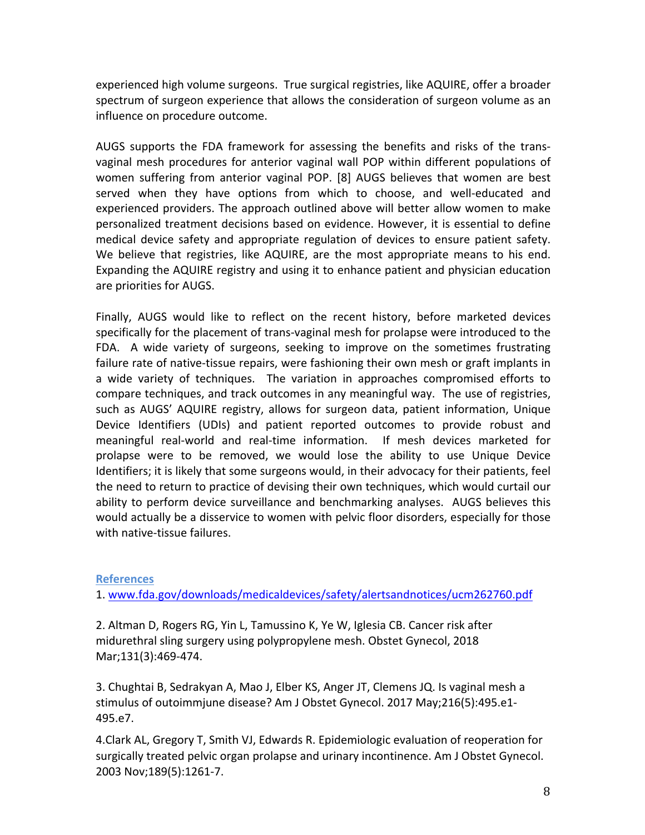experienced high volume surgeons. True surgical registries, like AQUIRE, offer a broader spectrum of surgeon experience that allows the consideration of surgeon volume as an influence on procedure outcome.

AUGS supports the FDA framework for assessing the benefits and risks of the transvaginal mesh procedures for anterior vaginal wall POP within different populations of women suffering from anterior vaginal POP. [8] AUGS believes that women are best served when they have options from which to choose, and well-educated and experienced providers. The approach outlined above will better allow women to make personalized treatment decisions based on evidence. However, it is essential to define medical device safety and appropriate regulation of devices to ensure patient safety. We believe that registries, like AQUIRE, are the most appropriate means to his end. Expanding the AQUIRE registry and using it to enhance patient and physician education are priorities for AUGS.

Finally, AUGS would like to reflect on the recent history, before marketed devices specifically for the placement of trans-vaginal mesh for prolapse were introduced to the FDA. A wide variety of surgeons, seeking to improve on the sometimes frustrating failure rate of native-tissue repairs, were fashioning their own mesh or graft implants in a wide variety of techniques. The variation in approaches compromised efforts to compare techniques, and track outcomes in any meaningful way. The use of registries, such as AUGS' AQUIRE registry, allows for surgeon data, patient information, Unique Device Identifiers (UDIs) and patient reported outcomes to provide robust and meaningful real-world and real-time information. If mesh devices marketed for prolapse were to be removed, we would lose the ability to use Unique Device Identifiers; it is likely that some surgeons would, in their advocacy for their patients, feel the need to return to practice of devising their own techniques, which would curtail our ability to perform device surveillance and benchmarking analyses. AUGS believes this would actually be a disservice to women with pelvic floor disorders, especially for those with native-tissue failures.

# **References**

1. www.fda.gov/downloads/medicaldevices/safety/alertsandnotices/ucm262760.pdf

2. Altman D, Rogers RG, Yin L, Tamussino K, Ye W, Iglesia CB. Cancer risk after midurethral sling surgery using polypropylene mesh. Obstet Gynecol, 2018 Mar;131(3):469-474.

3. Chughtai B, Sedrakyan A, Mao J, Elber KS, Anger JT, Clemens JQ. Is vaginal mesh a stimulus of outoimmjune disease? Am J Obstet Gynecol. 2017 May;216(5):495.e1-495.e7.

4. Clark AL, Gregory T, Smith VJ, Edwards R. Epidemiologic evaluation of reoperation for surgically treated pelvic organ prolapse and urinary incontinence. Am J Obstet Gynecol. 2003 Nov;189(5):1261-7.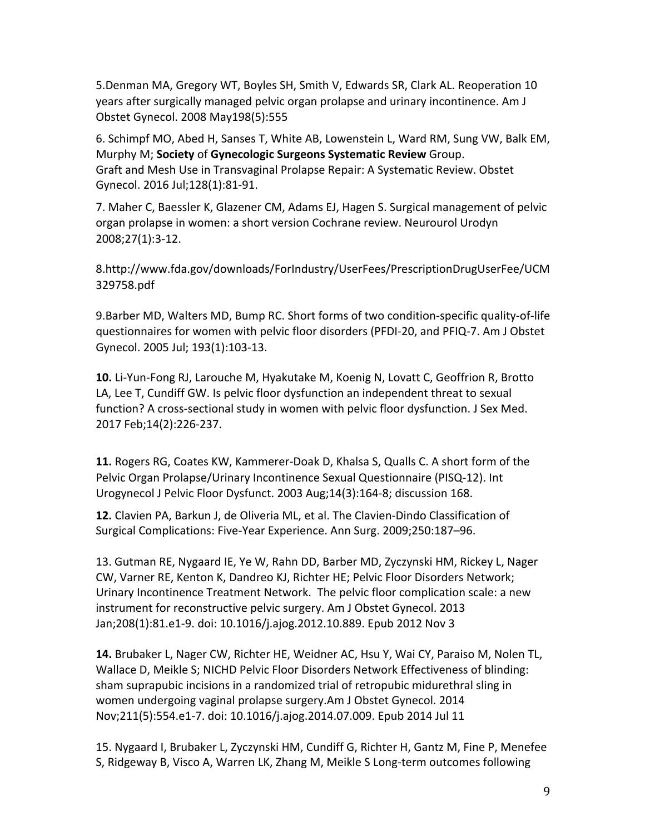5.Denman MA, Gregory WT, Boyles SH, Smith V, Edwards SR, Clark AL. Reoperation 10 years after surgically managed pelvic organ prolapse and urinary incontinence. Am J Obstet Gynecol. 2008 May198(5):555

6. Schimpf MO, Abed H, Sanses T, White AB, Lowenstein L, Ward RM, Sung VW, Balk EM, Murphy M; **Society** of **Gynecologic Surgeons Systematic Review** Group. Graft and Mesh Use in Transvaginal Prolapse Repair: A Systematic Review. Obstet Gynecol. 2016 Jul;128(1):81-91.

7. Maher C, Baessler K, Glazener CM, Adams EJ, Hagen S. Surgical management of pelvic organ prolapse in women: a short version Cochrane review. Neurourol Urodyn 2008;27(1):3-12.

8.http://www.fda.gov/downloads/ForIndustry/UserFees/PrescriptionDrugUserFee/UCM 329758.pdf 

9.Barber MD, Walters MD, Bump RC. Short forms of two condition-specific quality-of-life questionnaires for women with pelvic floor disorders (PFDI-20, and PFIQ-7. Am J Obstet Gynecol. 2005 Jul; 193(1):103-13.

**10.** Li-Yun-Fong RJ, Larouche M, Hyakutake M, Koenig N, Lovatt C, Geoffrion R, Brotto LA, Lee T, Cundiff GW. Is pelvic floor dysfunction an independent threat to sexual function? A cross-sectional study in women with pelvic floor dysfunction. J Sex Med. 2017 Feb;14(2):226-237.

**11.** Rogers RG, Coates KW, Kammerer-Doak D, Khalsa S, Qualls C. A short form of the Pelvic Organ Prolapse/Urinary Incontinence Sexual Questionnaire (PISQ-12). Int Urogynecol J Pelvic Floor Dysfunct. 2003 Aug;14(3):164-8; discussion 168.

12. Clavien PA, Barkun J, de Oliveria ML, et al. The Clavien-Dindo Classification of Surgical Complications: Five-Year Experience. Ann Surg. 2009;250:187-96.

13. Gutman RE, Nygaard IE, Ye W, Rahn DD, Barber MD, Zyczynski HM, Rickey L, Nager CW, Varner RE, Kenton K, Dandreo KJ, Richter HE; Pelvic Floor Disorders Network; Urinary Incontinence Treatment Network. The pelvic floor complication scale: a new instrument for reconstructive pelvic surgery. Am J Obstet Gynecol. 2013 Jan;208(1):81.e1-9. doi: 10.1016/j.ajog.2012.10.889. Epub 2012 Nov 3

14. Brubaker L, Nager CW, Richter HE, Weidner AC, Hsu Y, Wai CY, Paraiso M, Nolen TL, Wallace D, Meikle S; NICHD Pelvic Floor Disorders Network Effectiveness of blinding: sham suprapubic incisions in a randomized trial of retropubic midurethral sling in women undergoing vaginal prolapse surgery.Am J Obstet Gynecol. 2014 Nov;211(5):554.e1-7. doi: 10.1016/j.ajog.2014.07.009. Epub 2014 Jul 11

15. Nygaard I, Brubaker L, Zyczynski HM, Cundiff G, Richter H, Gantz M, Fine P, Menefee S, Ridgeway B, Visco A, Warren LK, Zhang M, Meikle S Long-term outcomes following